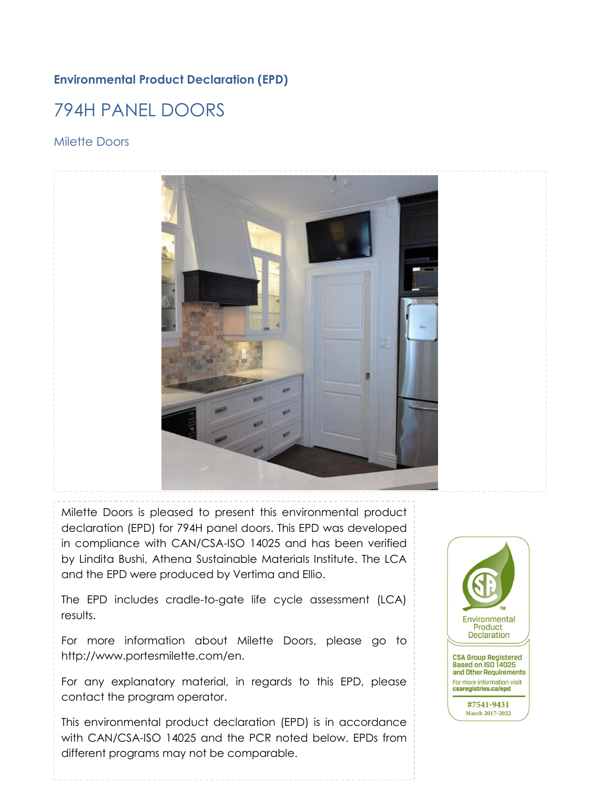### **Environmental Product Declaration (EPD)**

# 794H PANEL DOORS

### Milette Doors



Milette Doors is pleased to present this environmental product declaration (EPD) for 794H panel doors. This EPD was developed in compliance with CAN/CSA-ISO 14025 and has been verified by Lindita Bushi, Athena Sustainable Materials Institute. The LCA and the EPD were produced by Vertima and Ellio.

The EPD includes cradle-to-gate life cycle assessment (LCA) results.

For more information about Milette Doors, please go to http://www.portesmilette.com/en.

For any explanatory material, in regards to this EPD, please contact the program operator.

This environmental product declaration (EPD) is in accordance with CAN/CSA-ISO 14025 and the PCR noted below. EPDs from different programs may not be comparable.

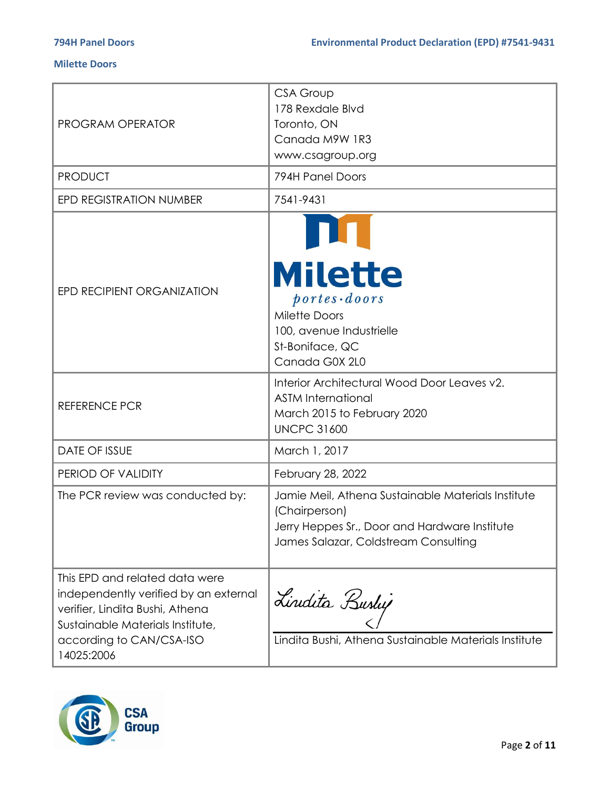| <b>PROGRAM OPERATOR</b>                                                                                                                                                                  | <b>CSA Group</b><br>178 Rexdale Blvd<br>Toronto, ON<br>Canada M9W 1R3<br>www.csagroup.org                                                                                                                                                |
|------------------------------------------------------------------------------------------------------------------------------------------------------------------------------------------|------------------------------------------------------------------------------------------------------------------------------------------------------------------------------------------------------------------------------------------|
| <b>PRODUCT</b>                                                                                                                                                                           | 794H Panel Doors                                                                                                                                                                                                                         |
| <b>EPD REGISTRATION NUMBER</b>                                                                                                                                                           | 7541-9431                                                                                                                                                                                                                                |
| EPD RECIPIENT ORGANIZATION<br><b>REFERENCE PCR</b>                                                                                                                                       | <b>Milette</b><br>$ports\cdot doors$<br><b>Milette Doors</b><br>100, avenue Industrielle<br>St-Boniface, QC<br>Canada G0X 2L0<br>Interior Architectural Wood Door Leaves v2.<br><b>ASTM International</b><br>March 2015 to February 2020 |
| <b>DATE OF ISSUE</b>                                                                                                                                                                     | <b>UNCPC 31600</b><br>March 1, 2017                                                                                                                                                                                                      |
|                                                                                                                                                                                          |                                                                                                                                                                                                                                          |
| PERIOD OF VALIDITY                                                                                                                                                                       | February 28, 2022                                                                                                                                                                                                                        |
| The PCR review was conducted by:                                                                                                                                                         | Jamie Meil, Athena Sustainable Materials Institute<br>(Chairperson)<br>Jerry Heppes Sr., Door and Hardware Institute<br>James Salazar, Coldstream Consulting                                                                             |
| This EPD and related data were<br>independently verified by an external<br>verifier, Lindita Bushi, Athena<br>Sustainable Materials Institute,<br>according to CAN/CSA-ISO<br>14025:2006 | Lindita Bushy<br>Lindita Bushi, Athena Sustainable Materials Institute                                                                                                                                                                   |

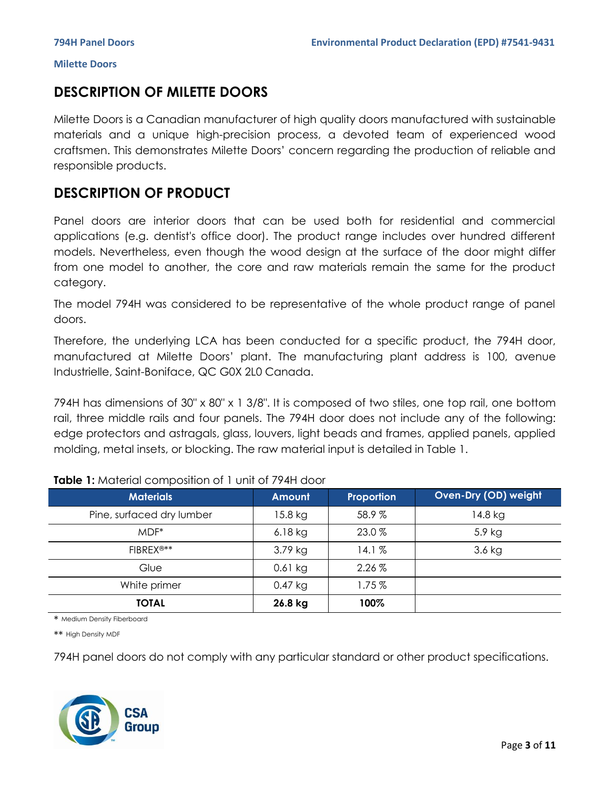## **DESCRIPTION OF MILETTE DOORS**

Milette Doors is a Canadian manufacturer of high quality doors manufactured with sustainable materials and a unique high-precision process, a devoted team of experienced wood craftsmen. This demonstrates Milette Doors' concern regarding the production of reliable and responsible products.

## **DESCRIPTION OF PRODUCT**

Panel doors are interior doors that can be used both for residential and commercial applications (e.g. dentist's office door). The product range includes over hundred different models. Nevertheless, even though the wood design at the surface of the door might differ from one model to another, the core and raw materials remain the same for the product category.

The model 794H was considered to be representative of the whole product range of panel doors.

Therefore, the underlying LCA has been conducted for a specific product, the 794H door, manufactured at Milette Doors' plant. The manufacturing plant address is 100, avenue Industrielle, Saint-Boniface, QC G0X 2L0 Canada.

794H has dimensions of 30" x 80" x 1 3/8". It is composed of two stiles, one top rail, one bottom rail, three middle rails and four panels. The 794H door does not include any of the following: edge protectors and astragals, glass, louvers, light beads and frames, applied panels, applied molding, metal insets, or blocking. The raw material input is detailed in Table 1.

| <b>Materials</b>          | Amount    | Proportion | Oven-Dry (OD) weight |
|---------------------------|-----------|------------|----------------------|
| Pine, surfaced dry lumber | 15.8 kg   | 58.9%      | 14.8 kg              |
| $MDF^*$                   | $6.18$ kg | 23.0%      | 5.9 kg               |
| FIBREX <sup>®**</sup>     | $3.79$ kg | 14.1%      | $3.6$ kg             |
| Glue                      | $0.61$ kg | $2.26\%$   |                      |
| White primer              | $0.47$ kg | 1.75%      |                      |
| <b>TOTAL</b>              | 26.8 kg   | 100%       |                      |

### **Table 1:** Material composition of 1 unit of 794H door

\* Medium Density Fiberboard

\*\* High Density MDF

794H panel doors do not comply with any particular standard or other product specifications.

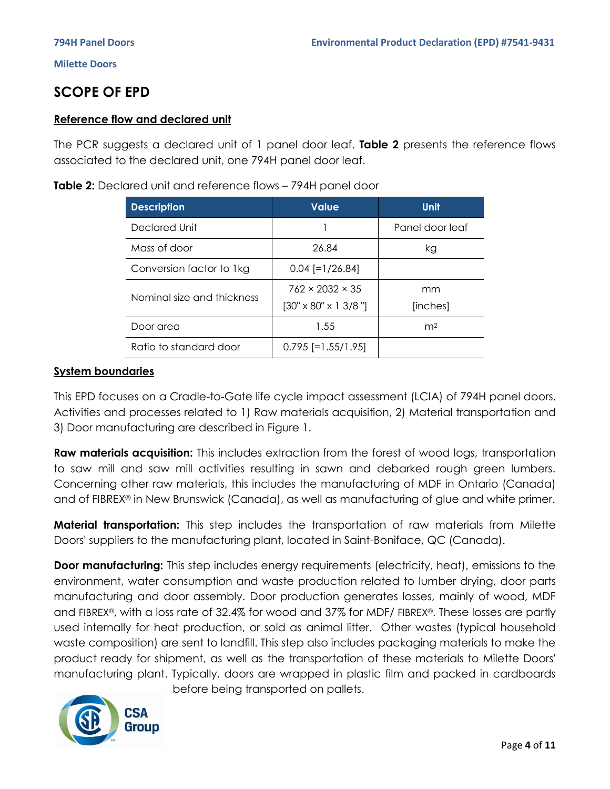## **SCOPE OF EPD**

### **Reference flow and declared unit**

The PCR suggests a declared unit of 1 panel door leaf. **Table 2** presents the reference flows associated to the declared unit, one 794H panel door leaf.

| <b>Description</b>         | <b>Value</b>                            | <b>Unit</b>     |
|----------------------------|-----------------------------------------|-----------------|
| Declared Unit              |                                         | Panel door leaf |
| Mass of door               | 26.84                                   | kg              |
| Conversion factor to 1kg   | $0.04$ [=1/26.84]                       |                 |
| Nominal size and thickness | $762 \times 2032 \times 35$             | mm              |
|                            | $[30" \times 80" \times 1 \frac{3}{8}]$ | [inches]        |
| Door area                  | 1.55                                    | m <sup>2</sup>  |
| Ratio to standard door     | $0.795$ [=1.55/1.95]                    |                 |

### **System boundaries**

This EPD focuses on a Cradle-to-Gate life cycle impact assessment (LCIA) of 794H panel doors. Activities and processes related to 1) Raw materials acquisition, 2) Material transportation and 3) Door manufacturing are described in Figure 1.

**Raw materials acquisition:** This includes extraction from the forest of wood logs, transportation to saw mill and saw mill activities resulting in sawn and debarked rough green lumbers. Concerning other raw materials, this includes the manufacturing of MDF in Ontario (Canada) and of FIBREX® in New Brunswick (Canada), as well as manufacturing of glue and white primer.

**Material transportation:** This step includes the transportation of raw materials from Milette Doors' suppliers to the manufacturing plant, located in Saint-Boniface, QC (Canada).

**Door manufacturing:** This step includes energy requirements (electricity, heat), emissions to the environment, water consumption and waste production related to lumber drying, door parts manufacturing and door assembly. Door production generates losses, mainly of wood, MDF and FIBREX®, with a loss rate of 32.4% for wood and 37% for MDF/ FIBREX®. These losses are partly used internally for heat production, or sold as animal litter. Other wastes (typical household waste composition) are sent to landfill. This step also includes packaging materials to make the product ready for shipment, as well as the transportation of these materials to Milette Doors' manufacturing plant. Typically, doors are wrapped in plastic film and packed in cardboards



before being transported on pallets.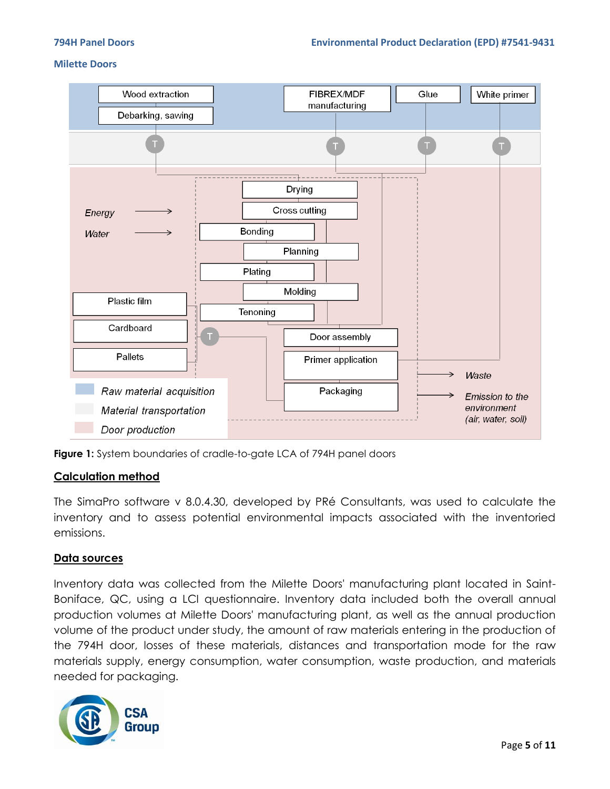



### **Calculation method**

The SimaPro software v 8.0.4.30, developed by PRé Consultants, was used to calculate the inventory and to assess potential environmental impacts associated with the inventoried emissions.

### **Data sources**

Inventory data was collected from the Milette Doors' manufacturing plant located in Saint-Boniface, QC, using a LCI questionnaire. Inventory data included both the overall annual production volumes at Milette Doors' manufacturing plant, as well as the annual production volume of the product under study, the amount of raw materials entering in the production of the 794H door, losses of these materials, distances and transportation mode for the raw materials supply, energy consumption, water consumption, waste production, and materials needed for packaging.

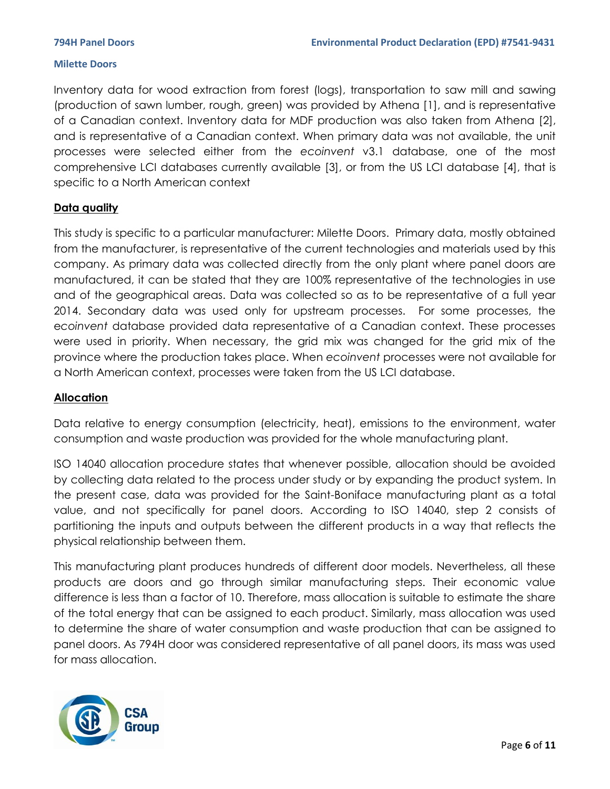Inventory data for wood extraction from forest (logs), transportation to saw mill and sawing (production of sawn lumber, rough, green) was provided by Athena [1], and is representative of a Canadian context. Inventory data for MDF production was also taken from Athena [2], and is representative of a Canadian context. When primary data was not available, the unit processes were selected either from the *ecoinvent* v3.1 database, one of the most comprehensive LCI databases currently available [3], or from the US LCI database [4], that is specific to a North American context

### **Data quality**

This study is specific to a particular manufacturer: Milette Doors. Primary data, mostly obtained from the manufacturer, is representative of the current technologies and materials used by this company. As primary data was collected directly from the only plant where panel doors are manufactured, it can be stated that they are 100% representative of the technologies in use and of the geographical areas. Data was collected so as to be representative of a full year 2014. Secondary data was used only for upstream processes. For some processes, the e*coinvent* database provided data representative of a Canadian context. These processes were used in priority. When necessary, the grid mix was changed for the grid mix of the province where the production takes place. When *ecoinvent* processes were not available for a North American context, processes were taken from the US LCI database.

### **Allocation**

Data relative to energy consumption (electricity, heat), emissions to the environment, water consumption and waste production was provided for the whole manufacturing plant.

ISO 14040 allocation procedure states that whenever possible, allocation should be avoided by collecting data related to the process under study or by expanding the product system. In the present case, data was provided for the Saint-Boniface manufacturing plant as a total value, and not specifically for panel doors. According to ISO 14040, step 2 consists of partitioning the inputs and outputs between the different products in a way that reflects the physical relationship between them.

This manufacturing plant produces hundreds of different door models. Nevertheless, all these products are doors and go through similar manufacturing steps. Their economic value difference is less than a factor of 10. Therefore, mass allocation is suitable to estimate the share of the total energy that can be assigned to each product. Similarly, mass allocation was used to determine the share of water consumption and waste production that can be assigned to panel doors. As 794H door was considered representative of all panel doors, its mass was used for mass allocation.

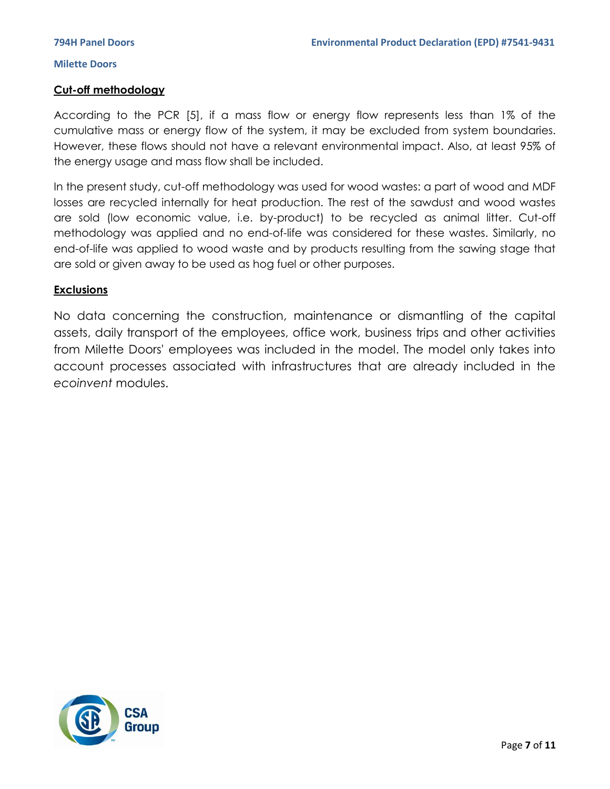### **Cut-off methodology**

According to the PCR [5], if a mass flow or energy flow represents less than 1% of the cumulative mass or energy flow of the system, it may be excluded from system boundaries. However, these flows should not have a relevant environmental impact. Also, at least 95% of the energy usage and mass flow shall be included.

In the present study, cut-off methodology was used for wood wastes: a part of wood and MDF losses are recycled internally for heat production. The rest of the sawdust and wood wastes are sold (low economic value, i.e. by-product) to be recycled as animal litter. Cut-off methodology was applied and no end-of-life was considered for these wastes. Similarly, no end-of-life was applied to wood waste and by products resulting from the sawing stage that are sold or given away to be used as hog fuel or other purposes.

### **Exclusions**

No data concerning the construction, maintenance or dismantling of the capital assets, daily transport of the employees, office work, business trips and other activities from Milette Doors' employees was included in the model. The model only takes into account processes associated with infrastructures that are already included in the *ecoinvent* modules.

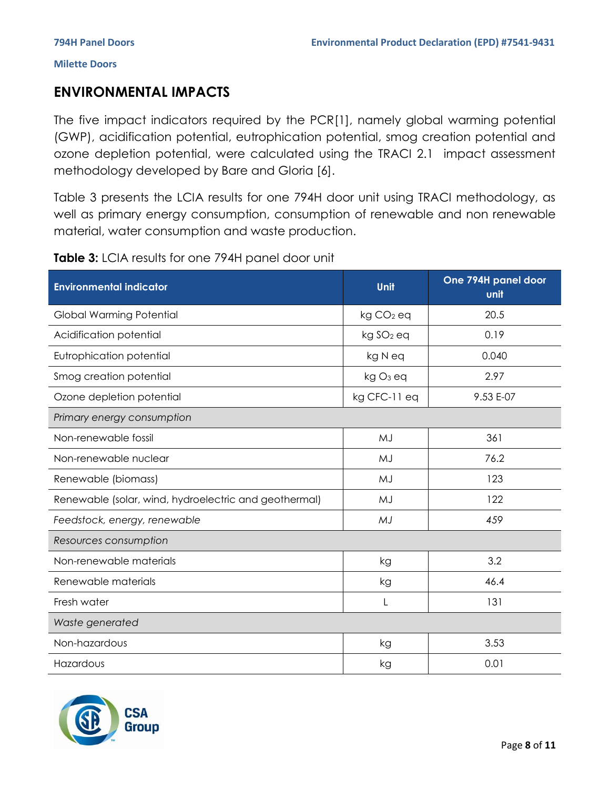## **ENVIRONMENTAL IMPACTS**

The five impact indicators required by the PCR[1], namely global warming potential (GWP), acidification potential, eutrophication potential, smog creation potential and ozone depletion potential, were calculated using the TRACI 2.1 impact assessment methodology developed by Bare and Gloria [6].

Table 3 presents the LCIA results for one 794H door unit using TRACI methodology, as well as primary energy consumption, consumption of renewable and non renewable material, water consumption and waste production.

| Table 3: LCIA results for one 794H panel door unit |  |
|----------------------------------------------------|--|
|----------------------------------------------------|--|

| <b>Environmental indicator</b>                        | Unit                  | One 794H panel door<br>unit |
|-------------------------------------------------------|-----------------------|-----------------------------|
| <b>Global Warming Potential</b>                       | kg CO <sub>2</sub> eq | 20.5                        |
| Acidification potential                               | kg SO <sub>2</sub> eq | 0.19                        |
| Eutrophication potential                              | kg N eq               | 0.040                       |
| Smog creation potential                               | kg O <sub>3</sub> eq  | 2.97                        |
| Ozone depletion potential                             | kg CFC-11 eq          | 9.53 E-07                   |
| Primary energy consumption                            |                       |                             |
| Non-renewable fossil                                  | MJ                    | 361                         |
| Non-renewable nuclear                                 | MJ                    | 76.2                        |
| Renewable (biomass)                                   | MJ                    | 123                         |
| Renewable (solar, wind, hydroelectric and geothermal) | MJ                    | 122                         |
| Feedstock, energy, renewable                          | MJ                    | 459                         |
| Resources consumption                                 |                       |                             |
| Non-renewable materials                               | kg                    | 3.2                         |
| Renewable materials                                   | kg                    | 46.4                        |
| Fresh water                                           | L                     | 131                         |
| Waste generated                                       |                       |                             |
| Non-hazardous                                         | kg                    | 3.53                        |
| Hazardous                                             | kg                    | 0.01                        |

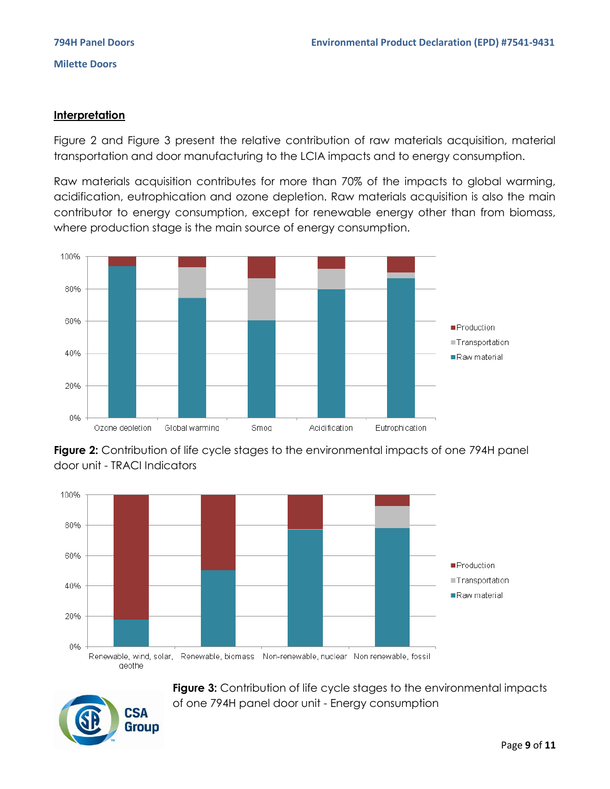### **Interpretation**

Figure 2 and Figure 3 present the relative contribution of raw materials acquisition, material transportation and door manufacturing to the LCIA impacts and to energy consumption.

Raw materials acquisition contributes for more than 70% of the impacts to global warming, acidification, eutrophication and ozone depletion. Raw materials acquisition is also the main contributor to energy consumption, except for renewable energy other than from biomass, where production stage is the main source of energy consumption.



**Figure 2:** Contribution of life cycle stages to the environmental impacts of one 794H panel door unit - TRACI Indicators



**Figure 3:** Contribution of life cycle stages to the environmental impacts of one 794H panel door unit - Energy consumption

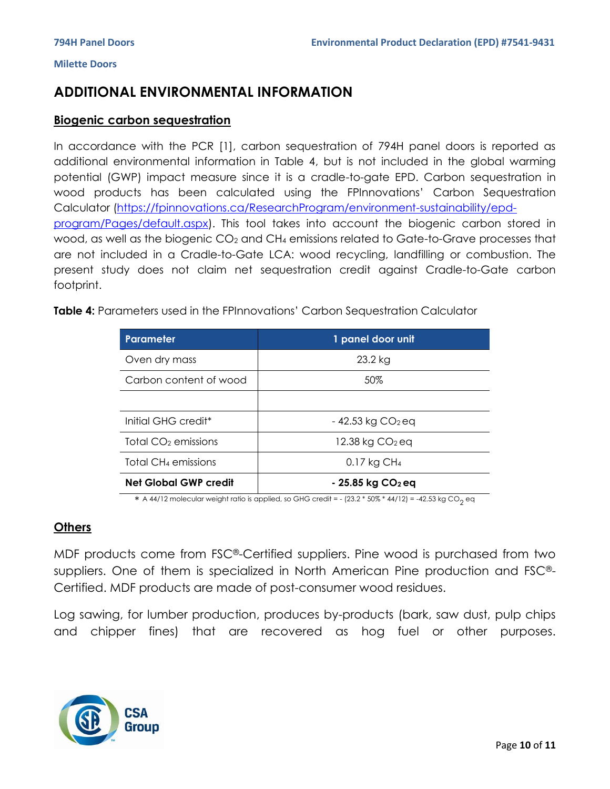## **ADDITIONAL ENVIRONMENTAL INFORMATION**

### **Biogenic carbon sequestration**

In accordance with the PCR [1], carbon sequestration of 794H panel doors is reported as additional environmental information in Table 4, but is not included in the global warming potential (GWP) impact measure since it is a cradle-to-gate EPD. Carbon sequestration in wood products has been calculated using the FPInnovations' Carbon Sequestration Calculator [\(https://fpinnovations.ca/ResearchProgram/environment-sustainability/epd](https://fpinnovations.ca/ResearchProgram/environment-sustainability/epd-program/Pages/default.aspx)[program/Pages/default.aspx\)](https://fpinnovations.ca/ResearchProgram/environment-sustainability/epd-program/Pages/default.aspx). This tool takes into account the biogenic carbon stored in wood, as well as the biogenic CO<sub>2</sub> and CH<sub>4</sub> emissions related to Gate-to-Grave processes that are not included in a Cradle-to-Gate LCA: wood recycling, landfilling or combustion. The present study does not claim net sequestration credit against Cradle-to-Gate carbon footprint.

**Table 4:** Parameters used in the FPInnovations' Carbon Sequestration Calculator

| Parameter                       | 1 panel door unit              |
|---------------------------------|--------------------------------|
| Oven dry mass                   | 23.2 kg                        |
| Carbon content of wood          | 50%                            |
|                                 |                                |
| Initial GHG credit <sup>*</sup> | $-42.53$ kg CO <sub>2</sub> eq |
| Total CO <sub>2</sub> emissions | 12.38 kg CO <sub>2</sub> eq    |
| Total CH <sub>4</sub> emissions | $0.17$ kg CH <sub>4</sub>      |
| <b>Net Global GWP credit</b>    | $-25.85$ kg $CO2$ eq           |

 $\,$  \* A 44/12 molecular weight ratio is applied, so GHG credit = - (23.2  $^*$  50%  $^*$  44/12) = -42.53 kg CO $_2$  eq

### **Others**

MDF products come from FSC®-Certified suppliers. Pine wood is purchased from two suppliers. One of them is specialized in North American Pine production and FSC®- Certified. MDF products are made of post-consumer wood residues.

Log sawing, for lumber production, produces by-products (bark, saw dust, pulp chips and chipper fines) that are recovered as hog fuel or other purposes.